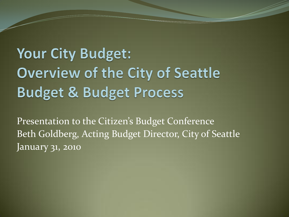### Your City Budget: **Overview of the City of Seattle Budget & Budget Process**

Presentation to the Citizen's Budget Conference Beth Goldberg, Acting Budget Director, City of Seattle January 31, 2010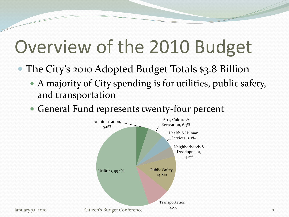# Overview of the 2010 Budget

- The City's 2010 Adopted Budget Totals \$3.8 Billion
	- A majority of City spending is for utilities, public safety, and transportation
	- General Fund represents twenty-four percent

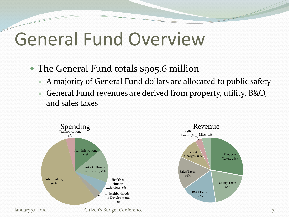# General Fund Overview

### • The General Fund totals \$905.6 million

- A majority of General Fund dollars are allocated to public safety
- General Fund revenues are derived from property, utility, B&O, and sales taxes

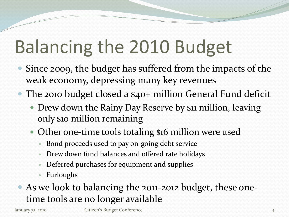# Balancing the 2010 Budget

- Since 2009, the budget has suffered from the impacts of the weak economy, depressing many key revenues
- The 2010 budget closed a \$40+ million General Fund deficit
	- Drew down the Rainy Day Reserve by \$11 million, leaving only \$10 million remaining
	- Other one-time tools totaling \$16 million were used
		- Bond proceeds used to pay on-going debt service
		- Drew down fund balances and offered rate holidays
		- Deferred purchases for equipment and supplies
		- Furloughs

### As we look to balancing the 2011-2012 budget, these onetime tools are no longer available

January 31, 2010 Citizen's Budget Conference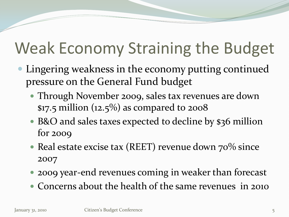## Weak Economy Straining the Budget

- Lingering weakness in the economy putting continued pressure on the General Fund budget
	- Through November 2009, sales tax revenues are down \$17.5 million  $(12.5\%)$  as compared to 2008
	- B&O and sales taxes expected to decline by \$36 million for 2009
	- Real estate excise tax (REET) revenue down  $70\%$  since 2007
	- 2009 year-end revenues coming in weaker than forecast
	- Concerns about the health of the same revenues in 2010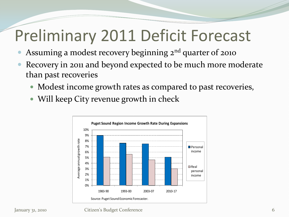## Preliminary 2011 Deficit Forecast

- Assuming a modest recovery beginning 2<sup>nd</sup> quarter of 2010
- Recovery in 2011 and beyond expected to be much more moderate than past recoveries
	- Modest income growth rates as compared to past recoveries,
	- Will keep City revenue growth in check



#### January 31, 2010 Citizen's Budget Conference 6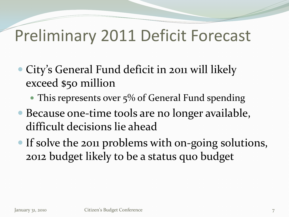### Preliminary 2011 Deficit Forecast

- City's General Fund deficit in 2011 will likely exceed \$50 million
	- $\bullet$  This represents over  $5\%$  of General Fund spending
- Because one-time tools are no longer available, difficult decisions lie ahead
- If solve the 2011 problems with on-going solutions, 2012 budget likely to be a status quo budget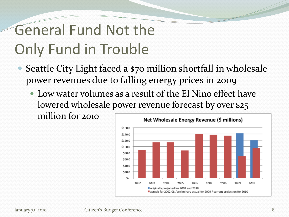### General Fund Not the Only Fund in Trouble

- Seattle City Light faced a \$70 million shortfall in wholesale power revenues due to falling energy prices in 2009
	- Low water volumes as a result of the El Nino effect have lowered wholesale power revenue forecast by over \$25 million for 2010

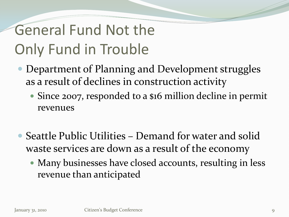### General Fund Not the Only Fund in Trouble

- Department of Planning and Development struggles as a result of declines in construction activity
	- Since 2007, responded to a \$16 million decline in permit revenues
- Seattle Public Utilities Demand for water and solid waste services are down as a result of the economy
	- Many businesses have closed accounts, resulting in less revenue than anticipated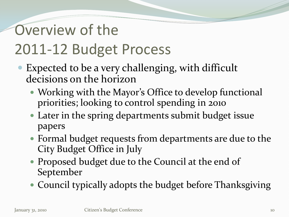### Overview of the 2011-12 Budget Process

- Expected to be a very challenging, with difficult decisions on the horizon
	- Working with the Mayor's Office to develop functional priorities; looking to control spending in 2010
	- Later in the spring departments submit budget issue papers
	- Formal budget requests from departments are due to the City Budget Office in July
	- Proposed budget due to the Council at the end of September
	- Council typically adopts the budget before Thanksgiving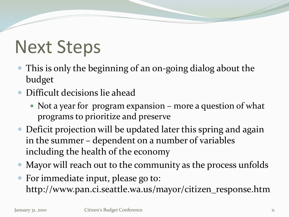# Next Steps

- This is only the beginning of an on-going dialog about the budget
- Difficult decisions lie ahead
	- Not a year for program expansion more a question of what programs to prioritize and preserve
- Deficit projection will be updated later this spring and again in the summer – dependent on a number of variables including the health of the economy
- Mayor will reach out to the community as the process unfolds
- For immediate input, please go to: http://www.pan.ci.seattle.wa.us/mayor/citizen\_response.htm